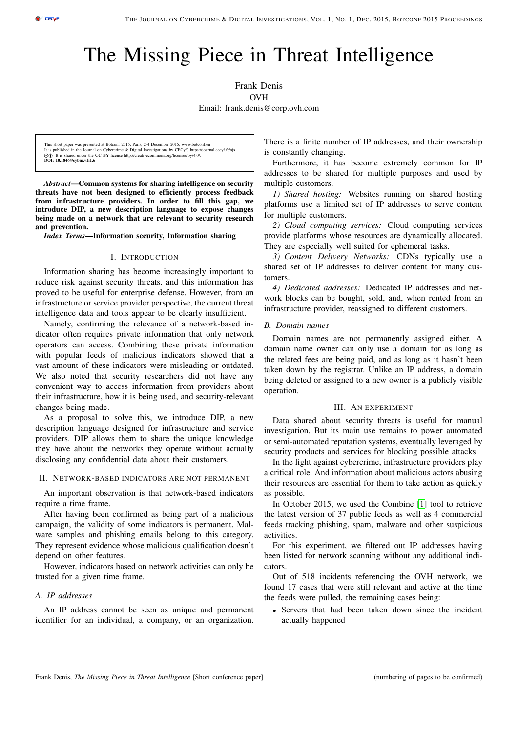# The Missing Piece in Threat Intelligence

Frank Denis OVH

Email: frank.denis@corp.ovh.com

This short paper was presented at Botconf 2015, Paris, 2-4 December 2015, www.botconf.eu It is published in the Journal on Cybercrime & Digital Investigations by CECyF, https://journal.cecyf.fr/ojs dibilished in the Journal on Cybercrime of Dignar Investigations by CDCy, mapped<br>It is shared under the CC BY license http://creativecommons.org/licenses/by/4.0/.  $\circledcirc$  It is shared under the<br>DOI: 10.18464/cybin.v1i1.6

*Abstract*—Common systems for sharing intelligence on security threats have not been designed to efficiently process feedback from infrastructure providers. In order to fill this gap, we introduce DIP, a new description language to expose changes being made on a network that are relevant to security research and prevention.

*Index Terms*—Information security, Information sharing

## I. INTRODUCTION

Information sharing has become increasingly important to reduce risk against security threats, and this information has proved to be useful for enterprise defense. However, from an infrastructure or service provider perspective, the current threat intelligence data and tools appear to be clearly insufficient.

Namely, confirming the relevance of a network-based indicator often requires private information that only network operators can access. Combining these private information with popular feeds of malicious indicators showed that a vast amount of these indicators were misleading or outdated. We also noted that security researchers did not have any convenient way to access information from providers about their infrastructure, how it is being used, and security-relevant changes being made.

As a proposal to solve this, we introduce DIP, a new description language designed for infrastructure and service providers. DIP allows them to share the unique knowledge they have about the networks they operate without actually disclosing any confidential data about their customers.

#### II. NETWORK-BASED INDICATORS ARE NOT PERMANENT

An important observation is that network-based indicators require a time frame.

After having been confirmed as being part of a malicious campaign, the validity of some indicators is permanent. Malware samples and phishing emails belong to this category. They represent evidence whose malicious qualification doesn't depend on other features.

However, indicators based on network activities can only be trusted for a given time frame.

# *A. IP addresses*

An IP address cannot be seen as unique and permanent identifier for an individual, a company, or an organization.

There is a finite number of IP addresses, and their ownership is constantly changing.

Furthermore, it has become extremely common for IP addresses to be shared for multiple purposes and used by multiple customers.

*1) Shared hosting:* Websites running on shared hosting platforms use a limited set of IP addresses to serve content for multiple customers.

*2) Cloud computing services:* Cloud computing services provide platforms whose resources are dynamically allocated. They are especially well suited for ephemeral tasks.

*3) Content Delivery Networks:* CDNs typically use a shared set of IP addresses to deliver content for many customers.

*4) Dedicated addresses:* Dedicated IP addresses and network blocks can be bought, sold, and, when rented from an infrastructure provider, reassigned to different customers.

# *B. Domain names*

Domain names are not permanently assigned either. A domain name owner can only use a domain for as long as the related fees are being paid, and as long as it hasn't been taken down by the registrar. Unlike an IP address, a domain being deleted or assigned to a new owner is a publicly visible operation.

## III. AN EXPERIMENT

Data shared about security threats is useful for manual investigation. But its main use remains to power automated or semi-automated reputation systems, eventually leveraged by security products and services for blocking possible attacks.

In the fight against cybercrime, infrastructure providers play a critical role. And information about malicious actors abusing their resources are essential for them to take action as quickly as possible.

In October 2015, we used the Combine [\[1\]](#page-5-0) tool to retrieve the latest version of 37 public feeds as well as 4 commercial feeds tracking phishing, spam, malware and other suspicious activities.

For this experiment, we filtered out IP addresses having been listed for network scanning without any additional indicators.

Out of 518 incidents referencing the OVH network, we found 17 cases that were still relevant and active at the time the feeds were pulled, the remaining cases being:

• Servers that had been taken down since the incident actually happened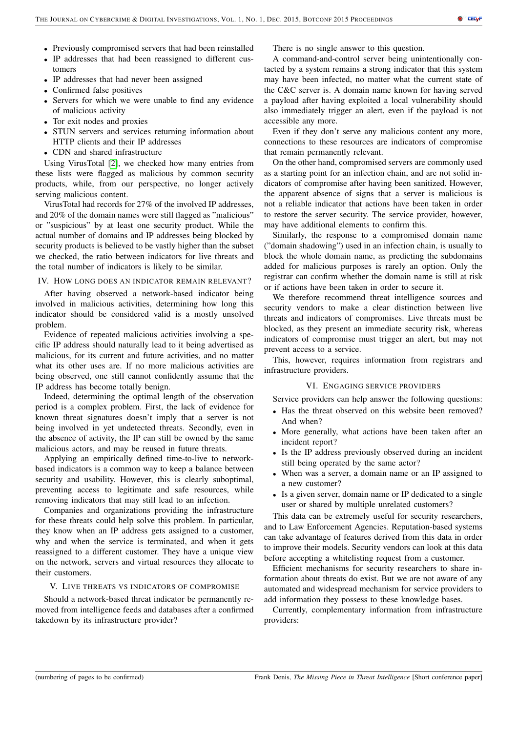- Previously compromised servers that had been reinstalled
- IP addresses that had been reassigned to different customers
- IP addresses that had never been assigned
- Confirmed false positives
- Servers for which we were unable to find any evidence of malicious activity
- Tor exit nodes and proxies
- STUN servers and services returning information about HTTP clients and their IP addresses
- CDN and shared infrastructure

Using VirusTotal [\[2\]](#page-5-1), we checked how many entries from these lists were flagged as malicious by common security products, while, from our perspective, no longer actively serving malicious content.

VirusTotal had records for 27% of the involved IP addresses, and 20% of the domain names were still flagged as "malicious" or "suspicious" by at least one security product. While the actual number of domains and IP addresses being blocked by security products is believed to be vastly higher than the subset we checked, the ratio between indicators for live threats and the total number of indicators is likely to be similar.

# IV. HOW LONG DOES AN INDICATOR REMAIN RELEVANT?

After having observed a network-based indicator being involved in malicious activities, determining how long this indicator should be considered valid is a mostly unsolved problem.

Evidence of repeated malicious activities involving a specific IP address should naturally lead to it being advertised as malicious, for its current and future activities, and no matter what its other uses are. If no more malicious activities are being observed, one still cannot confidently assume that the IP address has become totally benign.

Indeed, determining the optimal length of the observation period is a complex problem. First, the lack of evidence for known threat signatures doesn't imply that a server is not being involved in yet undetected threats. Secondly, even in the absence of activity, the IP can still be owned by the same malicious actors, and may be reused in future threats.

Applying an empirically defined time-to-live to networkbased indicators is a common way to keep a balance between security and usability. However, this is clearly suboptimal, preventing access to legitimate and safe resources, while removing indicators that may still lead to an infection.

Companies and organizations providing the infrastructure for these threats could help solve this problem. In particular, they know when an IP address gets assigned to a customer, why and when the service is terminated, and when it gets reassigned to a different customer. They have a unique view on the network, servers and virtual resources they allocate to their customers.

## V. LIVE THREATS VS INDICATORS OF COMPROMISE

Should a network-based threat indicator be permanently removed from intelligence feeds and databases after a confirmed takedown by its infrastructure provider?

There is no single answer to this question.

A command-and-control server being unintentionally contacted by a system remains a strong indicator that this system may have been infected, no matter what the current state of the C&C server is. A domain name known for having served a payload after having exploited a local vulnerability should also immediately trigger an alert, even if the payload is not accessible any more.

Even if they don't serve any malicious content any more, connections to these resources are indicators of compromise that remain permanently relevant.

On the other hand, compromised servers are commonly used as a starting point for an infection chain, and are not solid indicators of compromise after having been sanitized. However, the apparent absence of signs that a server is malicious is not a reliable indicator that actions have been taken in order to restore the server security. The service provider, however, may have additional elements to confirm this.

Similarly, the response to a compromised domain name ("domain shadowing") used in an infection chain, is usually to block the whole domain name, as predicting the subdomains added for malicious purposes is rarely an option. Only the registrar can confirm whether the domain name is still at risk or if actions have been taken in order to secure it.

We therefore recommend threat intelligence sources and security vendors to make a clear distinction between live threats and indicators of compromises. Live threats must be blocked, as they present an immediate security risk, whereas indicators of compromise must trigger an alert, but may not prevent access to a service.

This, however, requires information from registrars and infrastructure providers.

## VI. ENGAGING SERVICE PROVIDERS

Service providers can help answer the following questions:

- Has the threat observed on this website been removed?
- And when? • More generally, what actions have been taken after an incident report?
- Is the IP address previously observed during an incident still being operated by the same actor?
- When was a server, a domain name or an IP assigned to a new customer?
- Is a given server, domain name or IP dedicated to a single user or shared by multiple unrelated customers?

This data can be extremely useful for security researchers, and to Law Enforcement Agencies. Reputation-based systems can take advantage of features derived from this data in order to improve their models. Security vendors can look at this data before accepting a whitelisting request from a customer.

Efficient mechanisms for security researchers to share information about threats do exist. But we are not aware of any automated and widespread mechanism for service providers to add information they possess to these knowledge bases.

Currently, complementary information from infrastructure providers: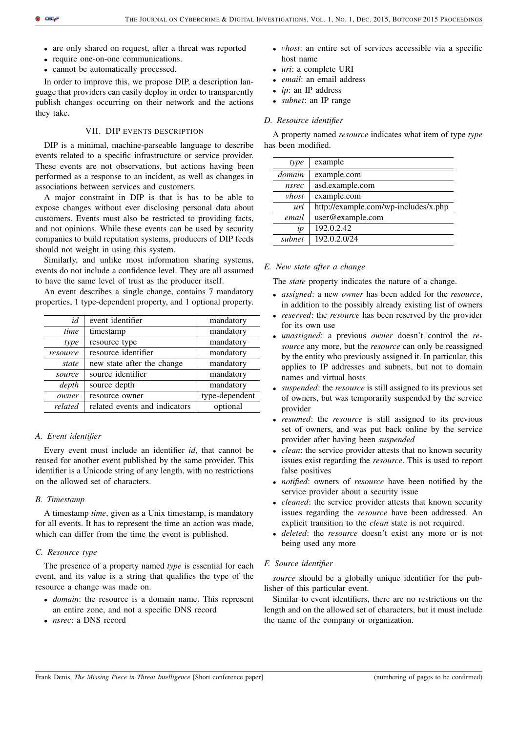- are only shared on request, after a threat was reported
- require one-on-one communications.
- cannot be automatically processed.

In order to improve this, we propose DIP, a description language that providers can easily deploy in order to transparently publish changes occurring on their network and the actions they take.

# VII. DIP EVENTS DESCRIPTION

DIP is a minimal, machine-parseable language to describe events related to a specific infrastructure or service provider. These events are not observations, but actions having been performed as a response to an incident, as well as changes in associations between services and customers.

A major constraint in DIP is that is has to be able to expose changes without ever disclosing personal data about customers. Events must also be restricted to providing facts, and not opinions. While these events can be used by security companies to build reputation systems, producers of DIP feeds should not weight in using this system.

Similarly, and unlike most information sharing systems, events do not include a confidence level. They are all assumed to have the same level of trust as the producer itself.

An event describes a single change, contains 7 mandatory properties, 1 type-dependent property, and 1 optional property.

| event identifier              | mandatory      |
|-------------------------------|----------------|
| timestamp                     | mandatory      |
| resource type                 | mandatory      |
| resource identifier           | mandatory      |
| new state after the change    | mandatory      |
| source identifier             | mandatory      |
| source depth                  | mandatory      |
| resource owner                | type-dependent |
| related events and indicators | optional       |
|                               |                |

# *A. Event identifier*

Every event must include an identifier *id*, that cannot be reused for another event published by the same provider. This identifier is a Unicode string of any length, with no restrictions on the allowed set of characters.

# *B. Timestamp*

A timestamp *time*, given as a Unix timestamp, is mandatory for all events. It has to represent the time an action was made, which can differ from the time the event is published.

# *C. Resource type*

The presence of a property named *type* is essential for each event, and its value is a string that qualifies the type of the resource a change was made on.

- *domain*: the resource is a domain name. This represent an entire zone, and not a specific DNS record
- *nsrec*: a DNS record
- *vhost*: an entire set of services accessible via a specific host name
- *uri*: a complete URI
- *email*: an email address
- *ip*: an IP address
- *subnet*: an IP range

# *D. Resource identifier*

A property named *resource* indicates what item of type *type* has been modified.

| example                              |
|--------------------------------------|
| example.com                          |
| asd.example.com                      |
| example.com                          |
| http://example.com/wp-includes/x.php |
| user@example.com                     |
| 192.0.2.42                           |
| 192.0.2.0/24                         |
|                                      |

# *E. New state after a change*

The *state* property indicates the nature of a change.

- *assigned*: a new *owner* has been added for the *resource*, in addition to the possibly already existing list of owners
- *reserved*: the *resource* has been reserved by the provider for its own use
- *unassigned*: a previous *owner* doesn't control the *resource* any more, but the *resource* can only be reassigned by the entity who previously assigned it. In particular, this applies to IP addresses and subnets, but not to domain names and virtual hosts
- *suspended*: the *resource* is still assigned to its previous set of owners, but was temporarily suspended by the service provider
- *resumed*: the *resource* is still assigned to its previous set of owners, and was put back online by the service provider after having been *suspended*
- *clean*: the service provider attests that no known security issues exist regarding the *resource*. This is used to report false positives
- *notified*: owners of *resource* have been notified by the service provider about a security issue
- *cleaned*: the service provider attests that known security issues regarding the *resource* have been addressed. An explicit transition to the *clean* state is not required.
- *deleted*: the *resource* doesn't exist any more or is not being used any more

# *F. Source identifier*

*source* should be a globally unique identifier for the publisher of this particular event.

Similar to event identifiers, there are no restrictions on the length and on the allowed set of characters, but it must include the name of the company or organization.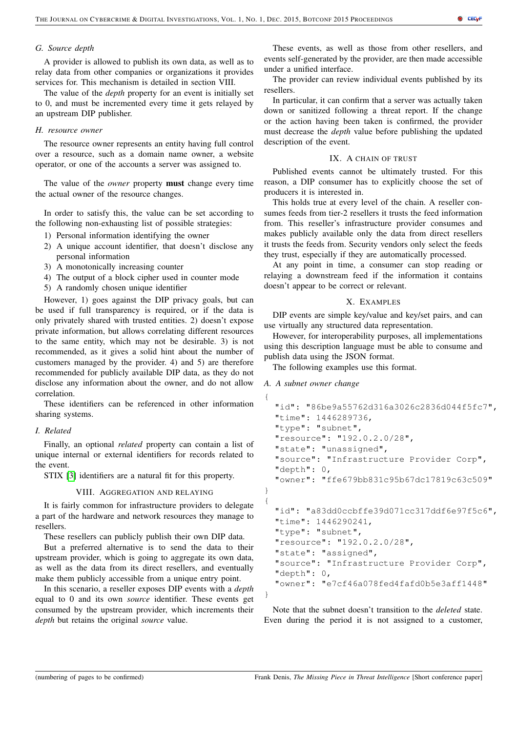# *G. Source depth*

A provider is allowed to publish its own data, as well as to relay data from other companies or organizations it provides services for. This mechanism is detailed in section VIII.

The value of the *depth* property for an event is initially set to 0, and must be incremented every time it gets relayed by an upstream DIP publisher.

# *H. resource owner*

The resource owner represents an entity having full control over a resource, such as a domain name owner, a website operator, or one of the accounts a server was assigned to.

The value of the *owner* property must change every time the actual owner of the resource changes.

In order to satisfy this, the value can be set according to the following non-exhausting list of possible strategies:

- 1) Personal information identifying the owner
- 2) A unique account identifier, that doesn't disclose any personal information
- 3) A monotonically increasing counter
- 4) The output of a block cipher used in counter mode
- 5) A randomly chosen unique identifier

However, 1) goes against the DIP privacy goals, but can be used if full transparency is required, or if the data is only privately shared with trusted entities. 2) doesn't expose private information, but allows correlating different resources to the same entity, which may not be desirable. 3) is not recommended, as it gives a solid hint about the number of customers managed by the provider. 4) and 5) are therefore recommended for publicly available DIP data, as they do not disclose any information about the owner, and do not allow correlation.

These identifiers can be referenced in other information sharing systems.

# *I. Related*

Finally, an optional *related* property can contain a list of unique internal or external identifiers for records related to the event.

STIX [\[3\]](#page-5-2) identifiers are a natural fit for this property.

## VIII. AGGREGATION AND RELAYING

It is fairly common for infrastructure providers to delegate a part of the hardware and network resources they manage to resellers.

These resellers can publicly publish their own DIP data.

But a preferred alternative is to send the data to their upstream provider, which is going to aggregate its own data, as well as the data from its direct resellers, and eventually make them publicly accessible from a unique entry point.

In this scenario, a reseller exposes DIP events with a *depth* equal to 0 and its own *source* identifier. These events get consumed by the upstream provider, which increments their *depth* but retains the original *source* value.

These events, as well as those from other resellers, and events self-generated by the provider, are then made accessible under a unified interface.

The provider can review individual events published by its resellers.

In particular, it can confirm that a server was actually taken down or sanitized following a threat report. If the change or the action having been taken is confirmed, the provider must decrease the *depth* value before publishing the updated description of the event.

## IX. A CHAIN OF TRUST

Published events cannot be ultimately trusted. For this reason, a DIP consumer has to explicitly choose the set of producers it is interested in.

This holds true at every level of the chain. A reseller consumes feeds from tier-2 resellers it trusts the feed information from. This reseller's infrastructure provider consumes and makes publicly available only the data from direct resellers it trusts the feeds from. Security vendors only select the feeds they trust, especially if they are automatically processed.

At any point in time, a consumer can stop reading or relaying a downstream feed if the information it contains doesn't appear to be correct or relevant.

# X. EXAMPLES

DIP events are simple key/value and key/set pairs, and can use virtually any structured data representation.

However, for interoperability purposes, all implementations using this description language must be able to consume and publish data using the JSON format.

The following examples use this format.

# *A. A subnet owner change*

```
{
  "id": "86be9a55762d316a3026c2836d044f5fc7",
  "time": 1446289736,
  "type": "subnet",
  "resource": "192.0.2.0/28",
  "state": "unassigned",
  "source": "Infrastructure Provider Corp",
  "depth": 0,
  "owner": "ffe679bb831c95b67dc17819c63c509"
}
{
  "id": "a83dd0ccbffe39d071cc317ddf6e97f5c6",
  "time": 1446290241,
  "type": "subnet",
  "resource": "192.0.2.0/28",
  "state": "assigned",
  "source": "Infrastructure Provider Corp",
  "depth": 0,
  "owner": "e7cf46a078fed4fafd0b5e3aff1448"
}
```
Note that the subnet doesn't transition to the *deleted* state. Even during the period it is not assigned to a customer,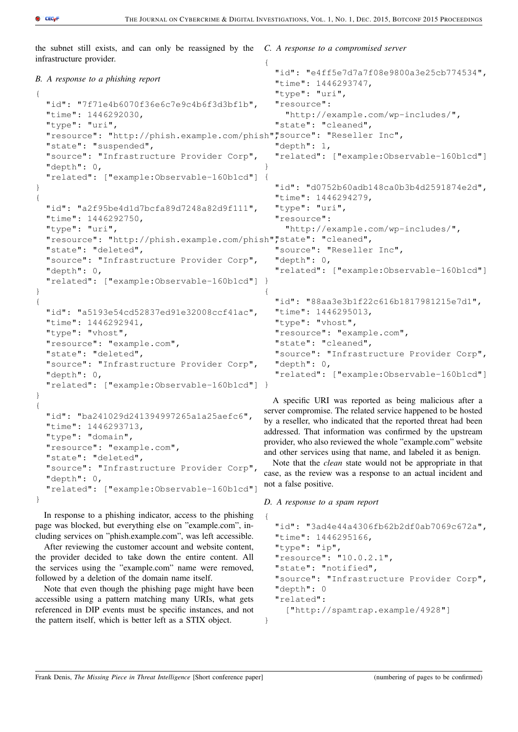the subnet still exists, and can only be reassigned by the infrastructure provider.

#### *C. A response to a compromised server*

```
B. A response to a phishing report
{
  "id": "7f71e4b6070f36e6c7e9c4b6f3d3bf1b",
  "time": 1446292030,
  "type": "uri",
  "resource": "http://phish.example.com/phish",
"source": "Reseller Inc",
  "state": "suspended",
  "source": "Infrastructure Provider Corp",
  "depth": 0,
  "related": ["example:Observable-160b1cd"]
}
{
  "id": "a2f95be4d1d7bcfa89d7248a82d9f111",
  "time": 1446292750,
  "type": "uri",
  "resource": "http://phish.example.com/phish","state": "cleaned",
  "state": "deleted",
  "source": "Infrastructure Provider Corp",
  "depth": 0,
  "related": ["example:Observable-160b1cd"]
}
}
{
  "id": "a5193e54cd52837ed91e32008ccf41ac",
  "time": 1446292941,
  "type": "vhost",
  "resource": "example.com",
  "state": "deleted",
  "source": "Infrastructure Provider Corp",
  "depth": 0,
  "related": ["example:Observable-160b1cd"]
}
}
{
                                               {
                                                 "id": "e4ff5e7d7a7f08e9800a3e25cb774534",
                                                 "time": 1446293747,
                                                 "type": "uri",
                                                 "resource":
                                                   "http://example.com/wp-includes/",
                                                 "state": "cleaned",
                                                 "depth": 1,
                                                 "related": ["example:Observable-160b1cd"]
                                               }
                                               {
                                                 "id": "d0752b60adb148ca0b3b4d2591874e2d",
                                                 "time": 1446294279,
                                                 "type": "uri",
                                                 "resource":
                                                   "http://example.com/wp-includes/",
                                                 "source": "Reseller Inc",
                                                 "depth": 0,
                                                 "related": ["example:Observable-160b1cd"]
                                               {
                                                 "id": "88aa3e3b1f22c616b1817981215e7d1",
                                                 "time": 1446295013,
                                                 "type": "vhost",
                                                 "resource": "example.com",
                                                 "state": "cleaned",
                                                 "source": "Infrastructure Provider Corp",
                                                 "depth": 0,
                                                 "related": ["example:Observable-160b1cd"]
                                                A specific URI was reported as being malicious after a
```

```
"id": "ba241029d241394997265a1a25aefc6",
  "time": 1446293713,
  "type": "domain",
  "resource": "example.com",
  "state": "deleted",
  "source": "Infrastructure Provider Corp",
  "depth": 0,
  "related": ["example:Observable-160b1cd"]
}
```
In response to a phishing indicator, access to the phishing page was blocked, but everything else on "example.com", including services on "phish.example.com", was left accessible.

After reviewing the customer account and website content, the provider decided to take down the entire content. All the services using the "example.com" name were removed, followed by a deletion of the domain name itself.

Note that even though the phishing page might have been accessible using a pattern matching many URIs, what gets referenced in DIP events must be specific instances, and not the pattern itself, which is better left as a STIX object.

server compromise. The related service happened to be hosted by a reseller, who indicated that the reported threat had been addressed. That information was confirmed by the upstream provider, who also reviewed the whole "example.com" website and other services using that name, and labeled it as benign.

Note that the *clean* state would not be appropriate in that case, as the review was a response to an actual incident and not a false positive.

*D. A response to a spam report*

}

```
{
  "id": "3ad4e44a4306fb62b2df0ab7069c672a",
  "time": 1446295166,
  "type": "ip",
  "resource": "10.0.2.1",
  "state": "notified",
  "source": "Infrastructure Provider Corp",
  "depth": 0
  "related":
    ["http://spamtrap.example/4928"]
```